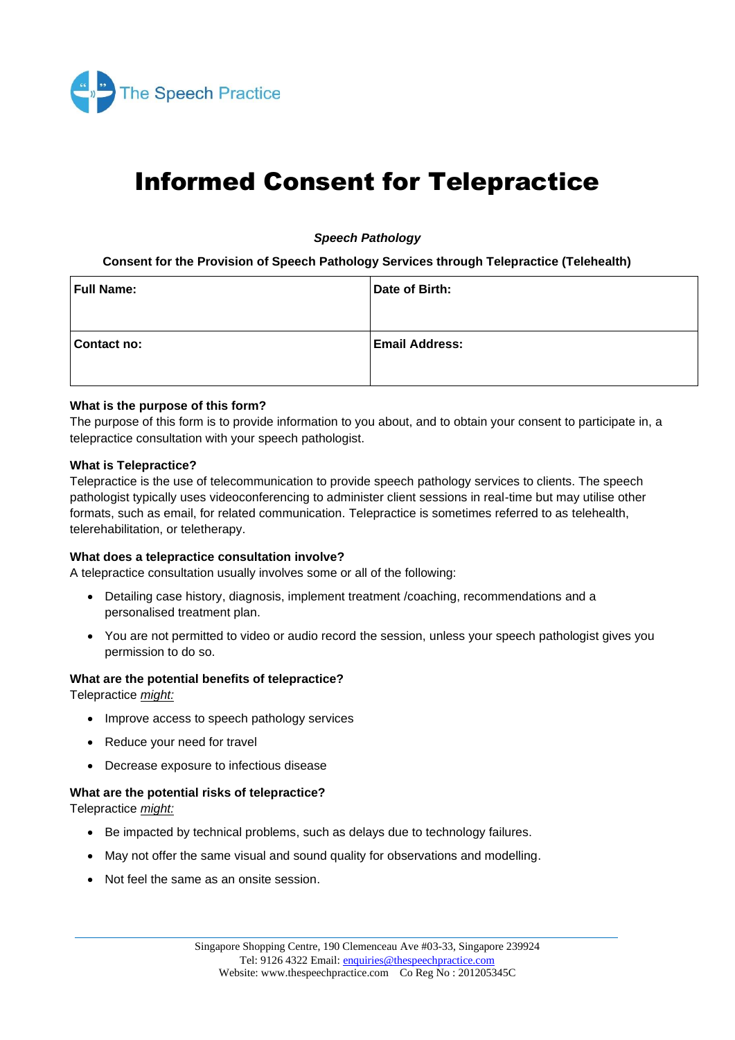

# Informed Consent for Telepractice

*Speech Pathology*

**Consent for the Provision of Speech Pathology Services through Telepractice (Telehealth)**

| <b>Full Name:</b> | Date of Birth:        |
|-------------------|-----------------------|
| Contact no:       | <b>Email Address:</b> |

### **What is the purpose of this form?**

The purpose of this form is to provide information to you about, and to obtain your consent to participate in, a telepractice consultation with your speech pathologist.

#### **What is Telepractice?**

Telepractice is the use of telecommunication to provide speech pathology services to clients. The speech pathologist typically uses videoconferencing to administer client sessions in real-time but may utilise other formats, such as email, for related communication. Telepractice is sometimes referred to as telehealth, telerehabilitation, or teletherapy.

#### **What does a telepractice consultation involve?**

A telepractice consultation usually involves some or all of the following:

- Detailing case history, diagnosis, implement treatment /coaching, recommendations and a personalised treatment plan.
- You are not permitted to video or audio record the session, unless your speech pathologist gives you permission to do so.

#### **What are the potential benefits of telepractice?**

Telepractice *might:*

- Improve access to speech pathology services
- Reduce your need for travel
- Decrease exposure to infectious disease

#### **What are the potential risks of telepractice?**

Telepractice *might:*

- Be impacted by technical problems, such as delays due to technology failures.
- May not offer the same visual and sound quality for observations and modelling.
- Not feel the same as an onsite session.